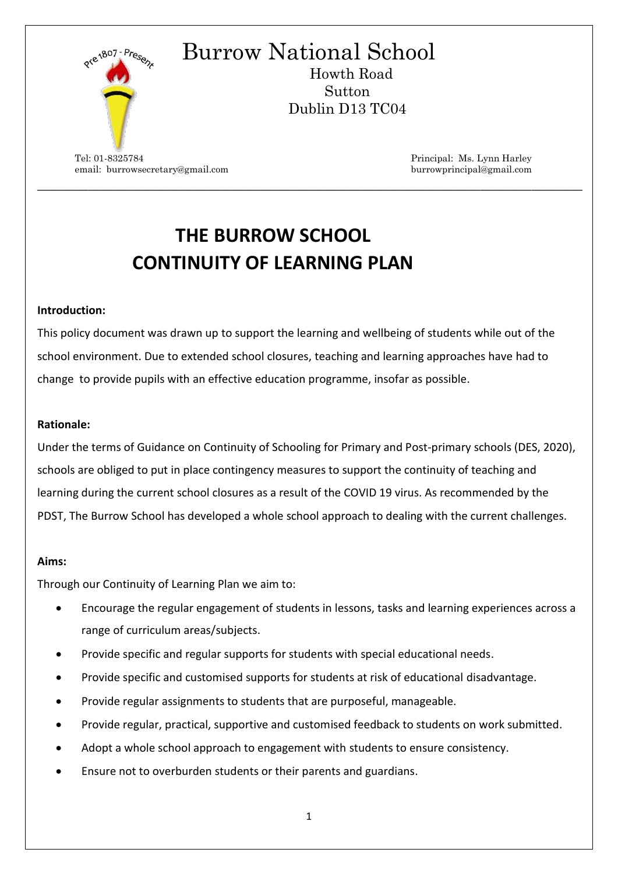

# **THE BURROW SCHOOL CONTINUITY OF LEARNING PLAN**

\_\_\_\_\_\_\_\_\_\_\_\_\_\_\_\_\_\_\_\_\_\_\_\_\_\_\_\_\_\_\_\_\_\_\_\_\_\_\_\_\_\_\_\_\_\_\_\_\_\_\_\_\_\_\_\_\_\_\_\_\_\_\_\_\_\_\_\_\_\_\_\_\_\_\_

#### **Introduction:**

This policy document was drawn up to support the learning and wellbeing of students while out of the school environment. Due to extended school closures, teaching and learning approaches have had to change to provide pupils with an effective education programme, insofar as possible.

#### **Rationale:**

Under the terms of Guidance on Continuity of Schooling for Primary and Post-primary schools (DES, 2020), schools are obliged to put in place contingency measures to support the continuity of teaching and learning during the current school closures as a result of the COVID 19 virus. As recommended by the PDST, The Burrow School has developed a whole school approach to dealing with the current challenges.

#### **Aims:**

Through our Continuity of Learning Plan we aim to:

- Encourage the regular engagement of students in lessons, tasks and learning experiences across a range of curriculum areas/subjects.
- Provide specific and regular supports for students with special educational needs.
- Provide specific and customised supports for students at risk of educational disadvantage.
- Provide regular assignments to students that are purposeful, manageable.
- Provide regular, practical, supportive and customised feedback to students on work submitted.
- Adopt a whole school approach to engagement with students to ensure consistency.
- Ensure not to overburden students or their parents and guardians.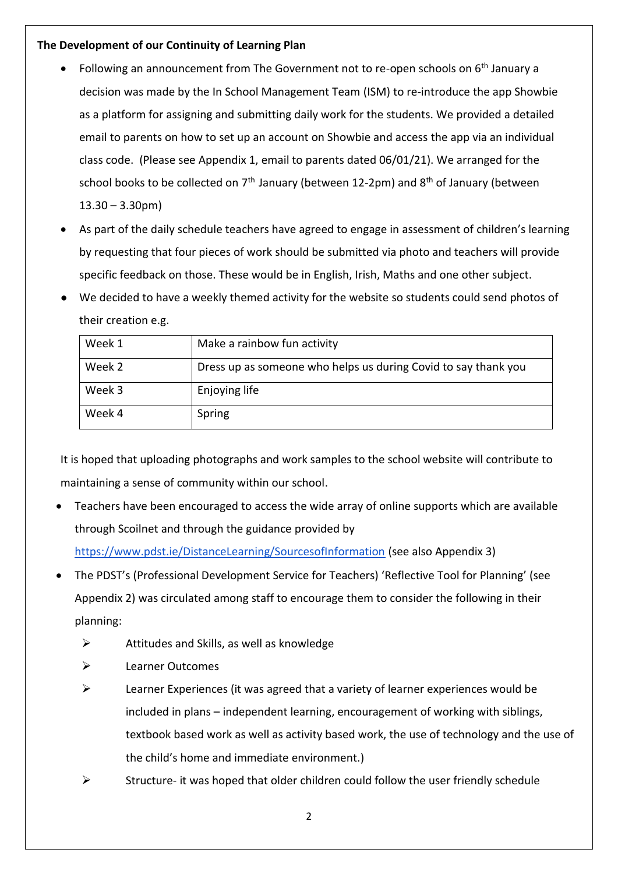## **The Development of our Continuity of Learning Plan**

- Following an announcement from The Government not to re-open schools on 6th January a decision was made by the In School Management Team (ISM) to re-introduce the app Showbie as a platform for assigning and submitting daily work for the students. We provided a detailed email to parents on how to set up an account on Showbie and access the app via an individual class code. (Please see Appendix 1, email to parents dated 06/01/21). We arranged for the school books to be collected on  $7<sup>th</sup>$  January (between 12-2pm) and  $8<sup>th</sup>$  of January (between  $13.30 - 3.30$ pm)
- As part of the daily schedule teachers have agreed to engage in assessment of children's learning by requesting that four pieces of work should be submitted via photo and teachers will provide specific feedback on those. These would be in English, Irish, Maths and one other subject.
- We decided to have a weekly themed activity for the website so students could send photos of their creation e.g.

| Week 1 | Make a rainbow fun activity                                    |
|--------|----------------------------------------------------------------|
| Week 2 | Dress up as someone who helps us during Covid to say thank you |
| Week 3 | Enjoying life                                                  |
| Week 4 | Spring                                                         |

It is hoped that uploading photographs and work samples to the school website will contribute to maintaining a sense of community within our school.

- Teachers have been encouraged to access the wide array of online supports which are available through Scoilnet and through the guidance provided by <https://www.pdst.ie/DistanceLearning/SourcesofInformation> (see also Appendix 3)
- The PDST's (Professional Development Service for Teachers) 'Reflective Tool for Planning' (see Appendix 2) was circulated among staff to encourage them to consider the following in their planning:
	- $\triangleright$  Attitudes and Skills, as well as knowledge
	- ➢ Learner Outcomes
	- $\triangleright$  Learner Experiences (it was agreed that a variety of learner experiences would be included in plans – independent learning, encouragement of working with siblings, textbook based work as well as activity based work, the use of technology and the use of the child's home and immediate environment.)
	- $\triangleright$  Structure- it was hoped that older children could follow the user friendly schedule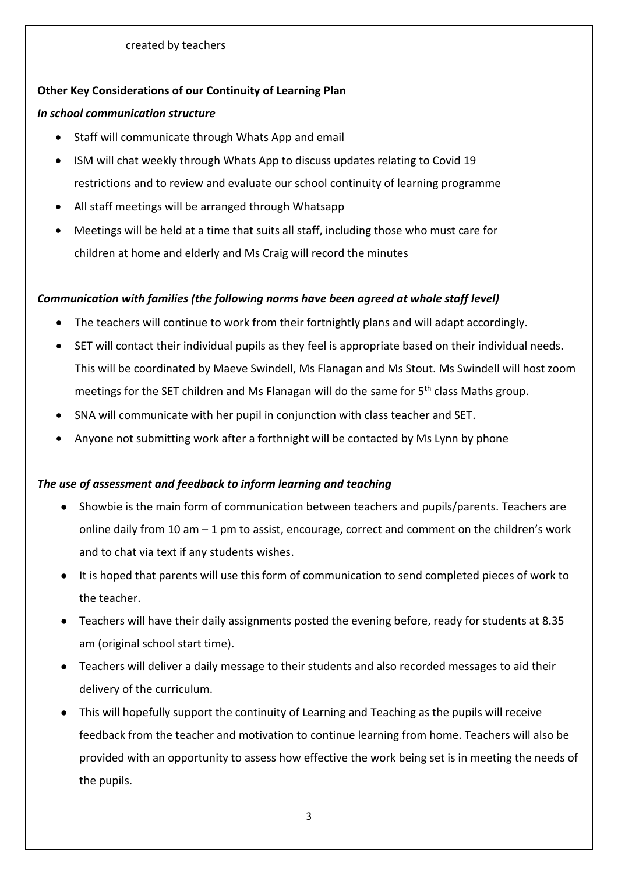# **Other Key Considerations of our Continuity of Learning Plan**

## *In school communication structure*

- Staff will communicate through Whats App and email
- ISM will chat weekly through Whats App to discuss updates relating to Covid 19 restrictions and to review and evaluate our school continuity of learning programme
- All staff meetings will be arranged through Whatsapp
- Meetings will be held at a time that suits all staff, including those who must care for children at home and elderly and Ms Craig will record the minutes

# *Communication with families (the following norms have been agreed at whole staff level)*

- The teachers will continue to work from their fortnightly plans and will adapt accordingly.
- SET will contact their individual pupils as they feel is appropriate based on their individual needs. This will be coordinated by Maeve Swindell, Ms Flanagan and Ms Stout. Ms Swindell will host zoom meetings for the SET children and Ms Flanagan will do the same for 5<sup>th</sup> class Maths group.
- SNA will communicate with her pupil in conjunction with class teacher and SET.
- Anyone not submitting work after a forthnight will be contacted by Ms Lynn by phone

# *The use of assessment and feedback to inform learning and teaching*

- Showbie is the main form of communication between teachers and pupils/parents. Teachers are online daily from 10 am – 1 pm to assist, encourage, correct and comment on the children's work and to chat via text if any students wishes.
- It is hoped that parents will use this form of communication to send completed pieces of work to the teacher.
- Teachers will have their daily assignments posted the evening before, ready for students at 8.35 am (original school start time).
- Teachers will deliver a daily message to their students and also recorded messages to aid their delivery of the curriculum.
- This will hopefully support the continuity of Learning and Teaching as the pupils will receive feedback from the teacher and motivation to continue learning from home. Teachers will also be provided with an opportunity to assess how effective the work being set is in meeting the needs of the pupils.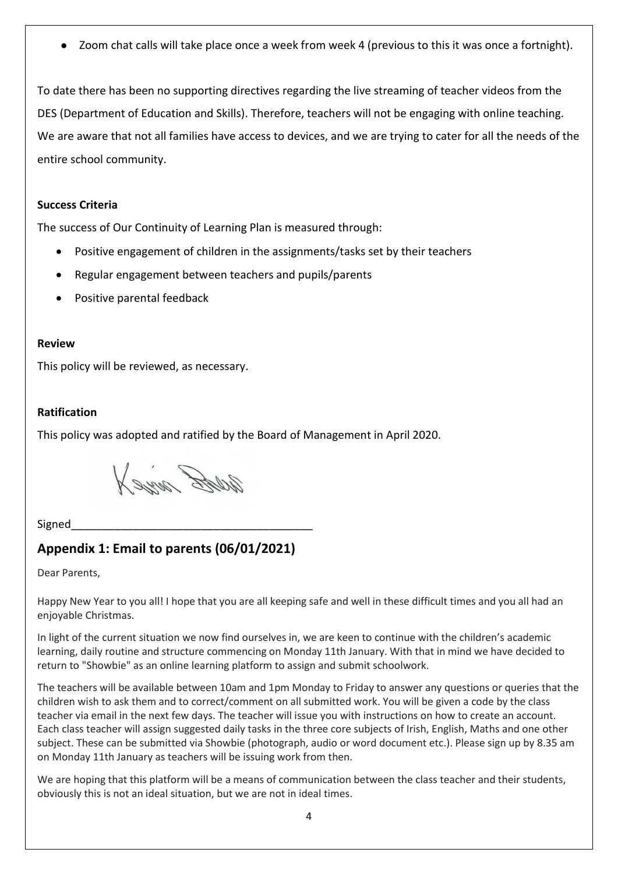Zoom chat calls will take place once a week from week 4 (previous to this it was once a fortnight).

To date there has been no supporting directives regarding the live streaming of teacher videos from the DES (Department of Education and Skills). Therefore, teachers will not be engaging with online teaching. We are aware that not all families have access to devices, and we are trying to cater for all the needs of the entire school community.

#### **Success Criteria**

The success of Our Continuity of Learning Plan is measured through:

- Positive engagement of children in the assignments/tasks set by their teachers
- Regular engagement between teachers and pupils/parents
- Positive parental feedback

#### **Review**

This policy will be reviewed, as necessary.

### **Ratification**

This policy was adopted and ratified by the Board of Management in April 2020.

Web Dire X

Signed

# **Appendix 1: Email to parents (06/01/2021)**

Dear Parents,

Happy New Year to you all! I hope that you are all keeping safe and well in these difficult times and you all had an enjoyable Christmas.

In light of the current situation we now find ourselves in, we are keen to continue with the children's academic learning, daily routine and structure commencing on Monday 11th January. With that in mind we have decided to return to "Showbie" as an online learning platform to assign and submit schoolwork.

The teachers will be available between 10am and 1pm Monday to Friday to answer any questions or queries that the children wish to ask them and to correct/comment on all submitted work. You will be given a code by the class teacher via email in the next few days. The teacher will issue you with instructions on how to create an account. Each class teacher will assign suggested daily tasks in the three core subjects of Irish, English, Maths and one other subject. These can be submitted via Showbie (photograph, audio or word document etc.). Please sign up by 8.35 am on Monday 11th January as teachers will be issuing work from then.

We are hoping that this platform will be a means of communication between the class teacher and their students, obviously this is not an ideal situation, but we are not in ideal times.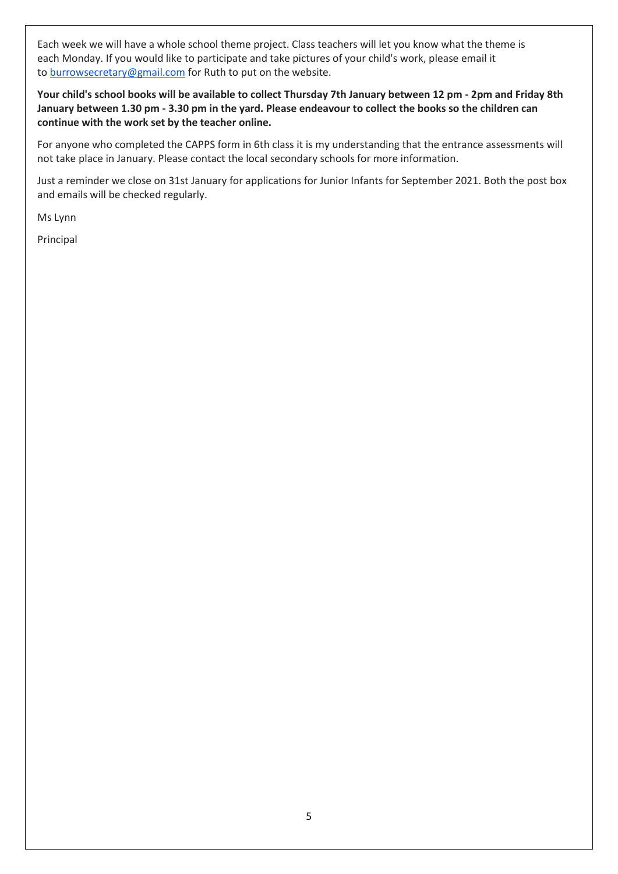Each week we will have a whole school theme project. Class teachers will let you know what the theme is each Monday. If you would like to participate and take pictures of your child's work, please email it to [burrowsecretary@gmail.com](mailto:burrowsecretary@gmail.com) for Ruth to put on the website.

**Your child's school books will be available to collect Thursday 7th January between 12 pm - 2pm and Friday 8th January between 1.30 pm - 3.30 pm in the yard. Please endeavour to collect the books so the children can continue with the work set by the teacher online.**

For anyone who completed the CAPPS form in 6th class it is my understanding that the entrance assessments will not take place in January. Please contact the local secondary schools for more information.

Just a reminder we close on 31st January for applications for Junior Infants for September 2021. Both the post box and emails will be checked regularly.

Ms Lynn

Principal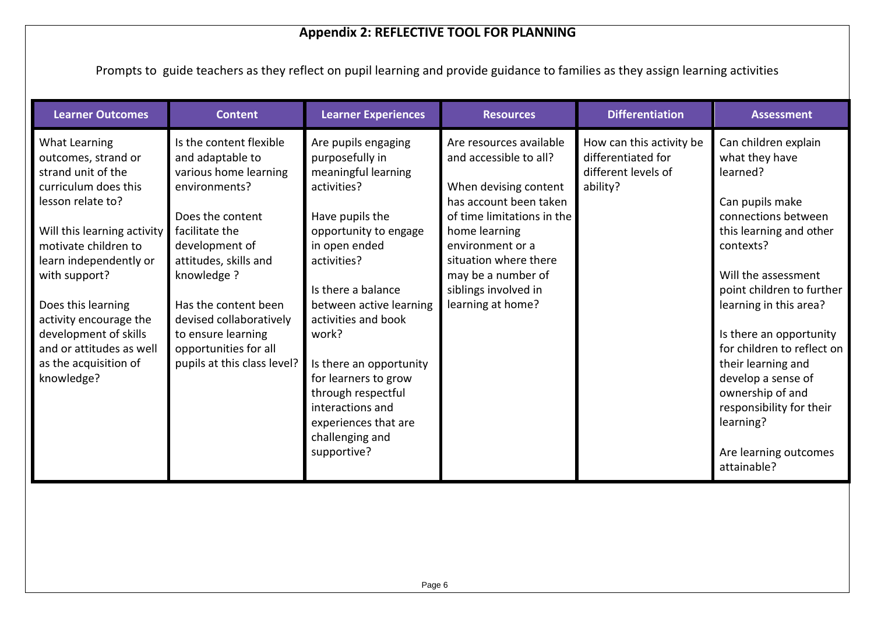# **Appendix 2: REFLECTIVE TOOL FOR PLANNING**

Prompts to guide teachers as they reflect on pupil learning and provide guidance to families as they assign learning activities

| <b>Learner Outcomes</b>                                                            | <b>Content</b>                                                                        | <b>Learner Experiences</b>                                                   | <b>Resources</b>                                                                          | <b>Differentiation</b>                                                            | <b>Assessment</b>                                                              |
|------------------------------------------------------------------------------------|---------------------------------------------------------------------------------------|------------------------------------------------------------------------------|-------------------------------------------------------------------------------------------|-----------------------------------------------------------------------------------|--------------------------------------------------------------------------------|
| What Learning<br>outcomes, strand or<br>strand unit of the<br>curriculum does this | Is the content flexible<br>and adaptable to<br>various home learning<br>environments? | Are pupils engaging<br>purposefully in<br>meaningful learning<br>activities? | Are resources available<br>and accessible to all?<br>When devising content                | How can this activity be<br>differentiated for<br>different levels of<br>ability? | Can children explain<br>what they have<br>learned?                             |
| lesson relate to?<br>Will this learning activity<br>motivate children to           | Does the content<br>facilitate the<br>development of                                  | Have pupils the<br>opportunity to engage<br>in open ended                    | has account been taken<br>of time limitations in the<br>home learning<br>environment or a |                                                                                   | Can pupils make<br>connections between<br>this learning and other<br>contexts? |
| learn independently or<br>with support?                                            | attitudes, skills and<br>knowledge ?                                                  | activities?<br>Is there a balance                                            | situation where there<br>may be a number of<br>siblings involved in                       |                                                                                   | Will the assessment<br>point children to further                               |
| Does this learning<br>activity encourage the<br>development of skills              | Has the content been<br>devised collaboratively<br>to ensure learning                 | between active learning<br>activities and book<br>work?                      | learning at home?                                                                         |                                                                                   | learning in this area?<br>Is there an opportunity                              |
| and or attitudes as well<br>as the acquisition of<br>knowledge?                    | opportunities for all<br>pupils at this class level?                                  | Is there an opportunity<br>for learners to grow                              |                                                                                           |                                                                                   | for children to reflect on<br>their learning and<br>develop a sense of         |
|                                                                                    |                                                                                       | through respectful<br>interactions and<br>experiences that are               |                                                                                           |                                                                                   | ownership of and<br>responsibility for their<br>learning?                      |
|                                                                                    |                                                                                       | challenging and<br>supportive?                                               |                                                                                           |                                                                                   | Are learning outcomes<br>attainable?                                           |